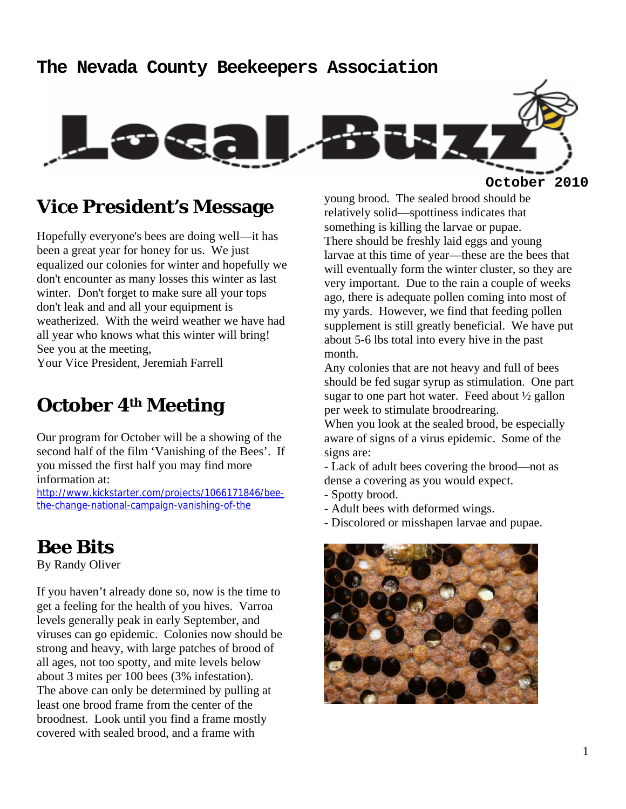#### **The Nevada County Beekeepers Association**



#### **Vice President's Message**

Hopefully everyone's bees are doing well—it has been a great year for honey for us. We just equalized our colonies for winter and hopefully we don't encounter as many losses this winter as last winter. Don't forget to make sure all your tops don't leak and and all your equipment is weatherized. With the weird weather we have had all year who knows what this winter will bring! See you at the meeting,

Your Vice President, Jeremiah Farrell

## **October 4th Meeting**

Our program for October will be a showing of the second half of the film 'Vanishing of the Bees'. If you missed the first half you may find more information at:

http://www.kickstarter.com/projects/1066171846/beethe-change-national-campaign-vanishing-of-the

## **Bee Bits**

By Randy Oliver

If you haven't already done so, now is the time to get a feeling for the health of you hives. Varroa levels generally peak in early September, and viruses can go epidemic. Colonies now should be strong and heavy, with large patches of brood of all ages, not too spotty, and mite levels below about 3 mites per 100 bees (3% infestation). The above can only be determined by pulling at least one brood frame from the center of the broodnest. Look until you find a frame mostly covered with sealed brood, and a frame with

young brood. The sealed brood should be relatively solid—spottiness indicates that something is killing the larvae or pupae. There should be freshly laid eggs and young larvae at this time of year—these are the bees that will eventually form the winter cluster, so they are very important. Due to the rain a couple of weeks ago, there is adequate pollen coming into most of my yards. However, we find that feeding pollen supplement is still greatly beneficial. We have put about 5-6 lbs total into every hive in the past month.

Any colonies that are not heavy and full of bees should be fed sugar syrup as stimulation. One part sugar to one part hot water. Feed about ½ gallon per week to stimulate broodrearing.

When you look at the sealed brood, be especially aware of signs of a virus epidemic. Some of the signs are:

- Lack of adult bees covering the brood—not as dense a covering as you would expect.

- Spotty brood.
- Adult bees with deformed wings.
- Discolored or misshapen larvae and pupae.

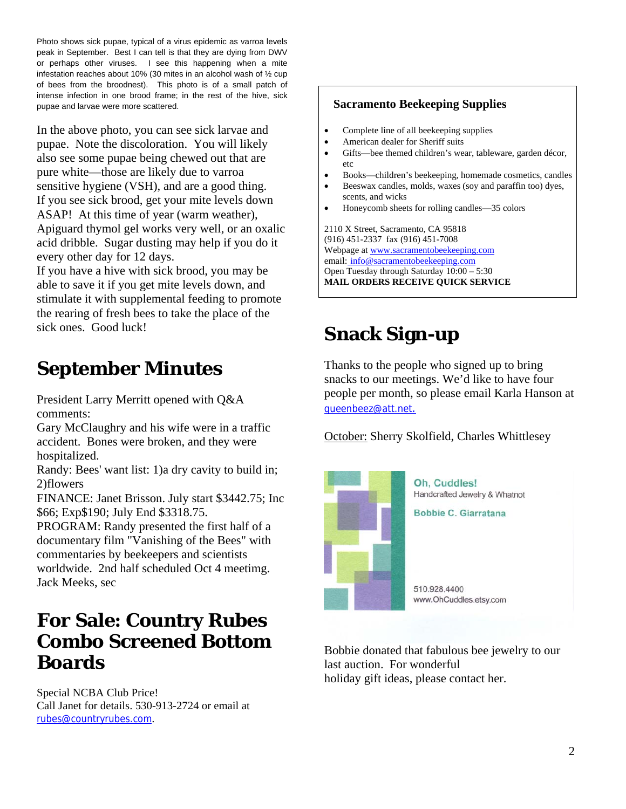Photo shows sick pupae, typical of a virus epidemic as varroa levels peak in September. Best I can tell is that they are dying from DWV or perhaps other viruses. I see this happening when a mite infestation reaches about 10% (30 mites in an alcohol wash of ½ cup of bees from the broodnest). This photo is of a small patch of intense infection in one brood frame; in the rest of the hive, sick pupae and larvae were more scattered.

In the above photo, you can see sick larvae and pupae. Note the discoloration. You will likely also see some pupae being chewed out that are pure white—those are likely due to varroa sensitive hygiene (VSH), and are a good thing. If you see sick brood, get your mite levels down ASAP! At this time of year (warm weather), Apiguard thymol gel works very well, or an oxalic acid dribble. Sugar dusting may help if you do it every other day for 12 days.

If you have a hive with sick brood, you may be able to save it if you get mite levels down, and stimulate it with supplemental feeding to promote the rearing of fresh bees to take the place of the sick ones. Good luck!

# **September Minutes**

President Larry Merritt opened with Q&A comments:

Gary McClaughry and his wife were in a traffic accident. Bones were broken, and they were hospitalized.

Randy: Bees' want list: 1)a dry cavity to build in; 2)flowers

FINANCE: Janet Brisson. July start \$3442.75; Inc \$66; Exp\$190; July End \$3318.75.

PROGRAM: Randy presented the first half of a documentary film "Vanishing of the Bees" with commentaries by beekeepers and scientists worldwide. 2nd half scheduled Oct 4 meetimg. Jack Meeks, sec

### **For Sale: Country Rubes Combo Screened Bottom Boards**

Special NCBA Club Price! Call Janet for details. 530-913-2724 or email at rubes@countryrubes.com.

#### **Sacramento Beekeeping Supplies**

- Complete line of all beekeeping supplies
- American dealer for Sheriff suits
- Gifts—bee themed children's wear, tableware, garden décor, etc
- Books—children's beekeeping, homemade cosmetics, candles
- Beeswax candles, molds, waxes (soy and paraffin too) dyes, scents, and wicks
- Honeycomb sheets for rolling candles—35 colors

2110 X Street, Sacramento, CA 95818 (916) 451-2337 fax (916) 451-7008 Webpage at www.sacramentobeekeeping.com email: info@sacramentobeekeeping.com Open Tuesday through Saturday 10:00 – 5:30 **MAIL ORDERS RECEIVE QUICK SERVICE** 

# **Snack Sign-up**

Thanks to the people who signed up to bring snacks to our meetings. We'd like to have four people per month, so please email Karla Hanson at queenbeez@att.net.

October: Sherry Skolfield, Charles Whittlesey



Bobbie donated that fabulous bee jewelry to our last auction. For wonderful holiday gift ideas, please contact her.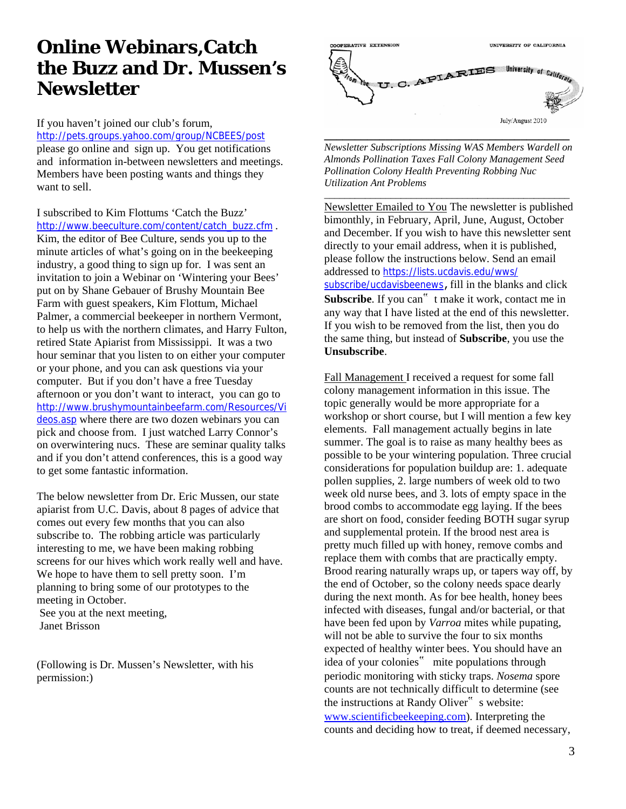## **Online Webinars,Catch the Buzz and Dr. Mussen's Newsletter**

If you haven't joined our club's forum, http://pets.groups.yahoo.com/group/NCBEES/post

please go online and sign up. You get notifications and information in-between newsletters and meetings. Members have been posting wants and things they want to sell.

I subscribed to Kim Flottums 'Catch the Buzz' http://www.beeculture.com/content/catch\_buzz.cfm .

Kim, the editor of Bee Culture, sends you up to the minute articles of what's going on in the beekeeping industry, a good thing to sign up for. I was sent an invitation to join a Webinar on 'Wintering your Bees' put on by Shane Gebauer of Brushy Mountain Bee Farm with guest speakers, Kim Flottum, Michael Palmer, a commercial beekeeper in northern Vermont, to help us with the northern climates, and Harry Fulton, retired State Apiarist from Mississippi. It was a two hour seminar that you listen to on either your computer or your phone, and you can ask questions via your computer. But if you don't have a free Tuesday afternoon or you don't want to interact, you can go to http://www.brushymountainbeefarm.com/Resources/Vi deos.asp where there are two dozen webinars you can pick and choose from. I just watched Larry Connor's on overwintering nucs. These are seminar quality talks and if you don't attend conferences, this is a good way to get some fantastic information.

The below newsletter from Dr. Eric Mussen, our state apiarist from U.C. Davis, about 8 pages of advice that comes out every few months that you can also subscribe to. The robbing article was particularly interesting to me, we have been making robbing screens for our hives which work really well and have. We hope to have them to sell pretty soon. I'm planning to bring some of our prototypes to the meeting in October.

 See you at the next meeting, Janet Brisson

(Following is Dr. Mussen's Newsletter, with his permission:)

![](_page_2_Picture_8.jpeg)

*Newsletter Subscriptions Missing WAS Members Wardell on Almonds Pollination Taxes Fall Colony Management Seed Pollination Colony Health Preventing Robbing Nuc Utilization Ant Problems* 

\_\_\_\_\_\_\_\_\_\_\_\_\_\_\_\_\_\_\_\_\_\_\_\_\_\_\_\_\_\_\_\_\_\_\_\_\_\_\_\_\_\_\_\_\_\_\_\_

Newsletter Emailed to You The newsletter is published bimonthly, in February, April, June, August, October and December. If you wish to have this newsletter sent directly to your email address, when it is published, please follow the instructions below. Send an email addressed to https://lists.ucdavis.edu/wws/ subscribe/ucdavisbeenews, fill in the blanks and click Subscribe. If you can<sup>"</sup> t make it work, contact me in any way that I have listed at the end of this newsletter. If you wish to be removed from the list, then you do the same thing, but instead of **Subscribe**, you use the **Unsubscribe**.

Fall Management I received a request for some fall colony management information in this issue. The topic generally would be more appropriate for a workshop or short course, but I will mention a few key elements. Fall management actually begins in late summer. The goal is to raise as many healthy bees as possible to be your wintering population. Three crucial considerations for population buildup are: 1. adequate pollen supplies, 2. large numbers of week old to two week old nurse bees, and 3. lots of empty space in the brood combs to accommodate egg laying. If the bees are short on food, consider feeding BOTH sugar syrup and supplemental protein. If the brood nest area is pretty much filled up with honey, remove combs and replace them with combs that are practically empty. Brood rearing naturally wraps up, or tapers way off, by the end of October, so the colony needs space dearly during the next month. As for bee health, honey bees infected with diseases, fungal and/or bacterial, or that have been fed upon by *Varroa* mites while pupating, will not be able to survive the four to six months expected of healthy winter bees. You should have an idea of your colonies" mite populations through periodic monitoring with sticky traps. *Nosema* spore counts are not technically difficult to determine (see the instructions at Randy Oliver" s website: www.scientificbeekeeping.com). Interpreting the counts and deciding how to treat, if deemed necessary,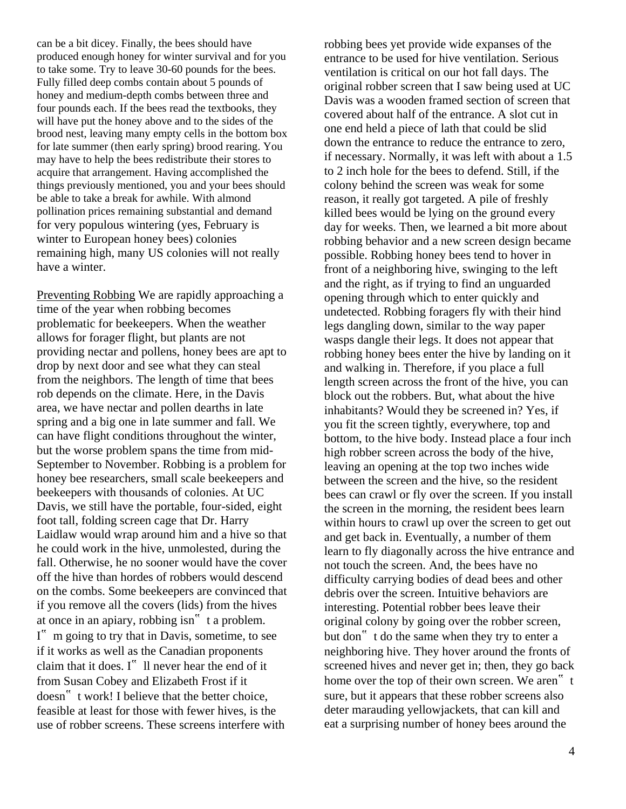can be a bit dicey. Finally, the bees should have produced enough honey for winter survival and for you to take some. Try to leave 30-60 pounds for the bees. Fully filled deep combs contain about 5 pounds of honey and medium-depth combs between three and four pounds each. If the bees read the textbooks, they will have put the honey above and to the sides of the brood nest, leaving many empty cells in the bottom box for late summer (then early spring) brood rearing. You may have to help the bees redistribute their stores to acquire that arrangement. Having accomplished the things previously mentioned, you and your bees should be able to take a break for awhile. With almond pollination prices remaining substantial and demand for very populous wintering (yes, February is winter to European honey bees) colonies remaining high, many US colonies will not really have a winter.

Preventing Robbing We are rapidly approaching a time of the year when robbing becomes problematic for beekeepers. When the weather allows for forager flight, but plants are not providing nectar and pollens, honey bees are apt to drop by next door and see what they can steal from the neighbors. The length of time that bees rob depends on the climate. Here, in the Davis area, we have nectar and pollen dearths in late spring and a big one in late summer and fall. We can have flight conditions throughout the winter, but the worse problem spans the time from mid-September to November. Robbing is a problem for honey bee researchers, small scale beekeepers and beekeepers with thousands of colonies. At UC Davis, we still have the portable, four-sided, eight foot tall, folding screen cage that Dr. Harry Laidlaw would wrap around him and a hive so that he could work in the hive, unmolested, during the fall. Otherwise, he no sooner would have the cover off the hive than hordes of robbers would descend on the combs. Some beekeepers are convinced that if you remove all the covers (lids) from the hives at once in an apiary, robbing isn" t a problem.  $I^{\prime\prime}$  m going to try that in Davis, sometime, to see if it works as well as the Canadian proponents claim that it does. I" Il never hear the end of it from Susan Cobey and Elizabeth Frost if it doesn" t work! I believe that the better choice, feasible at least for those with fewer hives, is the use of robber screens. These screens interfere with

robbing bees yet provide wide expanses of the entrance to be used for hive ventilation. Serious ventilation is critical on our hot fall days. The original robber screen that I saw being used at UC Davis was a wooden framed section of screen that covered about half of the entrance. A slot cut in one end held a piece of lath that could be slid down the entrance to reduce the entrance to zero, if necessary. Normally, it was left with about a 1.5 to 2 inch hole for the bees to defend. Still, if the colony behind the screen was weak for some reason, it really got targeted. A pile of freshly killed bees would be lying on the ground every day for weeks. Then, we learned a bit more about robbing behavior and a new screen design became possible. Robbing honey bees tend to hover in front of a neighboring hive, swinging to the left and the right, as if trying to find an unguarded opening through which to enter quickly and undetected. Robbing foragers fly with their hind legs dangling down, similar to the way paper wasps dangle their legs. It does not appear that robbing honey bees enter the hive by landing on it and walking in. Therefore, if you place a full length screen across the front of the hive, you can block out the robbers. But, what about the hive inhabitants? Would they be screened in? Yes, if you fit the screen tightly, everywhere, top and bottom, to the hive body. Instead place a four inch high robber screen across the body of the hive, leaving an opening at the top two inches wide between the screen and the hive, so the resident bees can crawl or fly over the screen. If you install the screen in the morning, the resident bees learn within hours to crawl up over the screen to get out and get back in. Eventually, a number of them learn to fly diagonally across the hive entrance and not touch the screen. And, the bees have no difficulty carrying bodies of dead bees and other debris over the screen. Intuitive behaviors are interesting. Potential robber bees leave their original colony by going over the robber screen, but don" t do the same when they try to enter a neighboring hive. They hover around the fronts of screened hives and never get in; then, they go back home over the top of their own screen. We aren" t sure, but it appears that these robber screens also deter marauding yellowjackets, that can kill and eat a surprising number of honey bees around the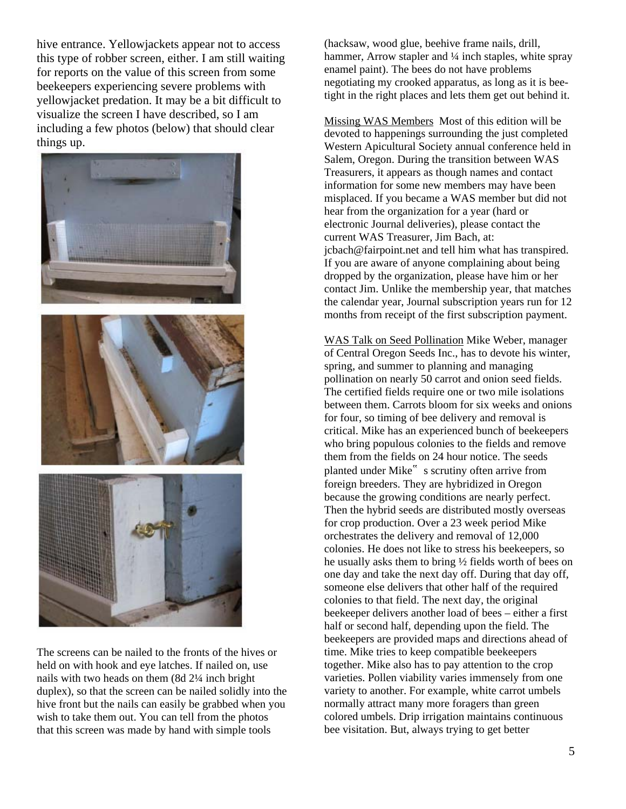hive entrance. Yellowjackets appear not to access this type of robber screen, either. I am still waiting for reports on the value of this screen from some beekeepers experiencing severe problems with yellowjacket predation. It may be a bit difficult to visualize the screen I have described, so I am including a few photos (below) that should clear things up.

![](_page_4_Picture_1.jpeg)

The screens can be nailed to the fronts of the hives or held on with hook and eye latches. If nailed on, use nails with two heads on them (8d 2¼ inch bright duplex), so that the screen can be nailed solidly into the hive front but the nails can easily be grabbed when you wish to take them out. You can tell from the photos that this screen was made by hand with simple tools

(hacksaw, wood glue, beehive frame nails, drill, hammer, Arrow stapler and ¼ inch staples, white spray enamel paint). The bees do not have problems negotiating my crooked apparatus, as long as it is beetight in the right places and lets them get out behind it.

Missing WAS Members Most of this edition will be devoted to happenings surrounding the just completed Western Apicultural Society annual conference held in Salem, Oregon. During the transition between WAS Treasurers, it appears as though names and contact information for some new members may have been misplaced. If you became a WAS member but did not hear from the organization for a year (hard or electronic Journal deliveries), please contact the current WAS Treasurer, Jim Bach, at: jcbach@fairpoint.net and tell him what has transpired. If you are aware of anyone complaining about being dropped by the organization, please have him or her contact Jim. Unlike the membership year, that matches the calendar year, Journal subscription years run for 12 months from receipt of the first subscription payment.

WAS Talk on Seed Pollination Mike Weber, manager of Central Oregon Seeds Inc., has to devote his winter, spring, and summer to planning and managing pollination on nearly 50 carrot and onion seed fields. The certified fields require one or two mile isolations between them. Carrots bloom for six weeks and onions for four, so timing of bee delivery and removal is critical. Mike has an experienced bunch of beekeepers who bring populous colonies to the fields and remove them from the fields on 24 hour notice. The seeds planted under Mike" s scrutiny often arrive from foreign breeders. They are hybridized in Oregon because the growing conditions are nearly perfect. Then the hybrid seeds are distributed mostly overseas for crop production. Over a 23 week period Mike orchestrates the delivery and removal of 12,000 colonies. He does not like to stress his beekeepers, so he usually asks them to bring ½ fields worth of bees on one day and take the next day off. During that day off, someone else delivers that other half of the required colonies to that field. The next day, the original beekeeper delivers another load of bees – either a first half or second half, depending upon the field. The beekeepers are provided maps and directions ahead of time. Mike tries to keep compatible beekeepers together. Mike also has to pay attention to the crop varieties. Pollen viability varies immensely from one variety to another. For example, white carrot umbels normally attract many more foragers than green colored umbels. Drip irrigation maintains continuous bee visitation. But, always trying to get better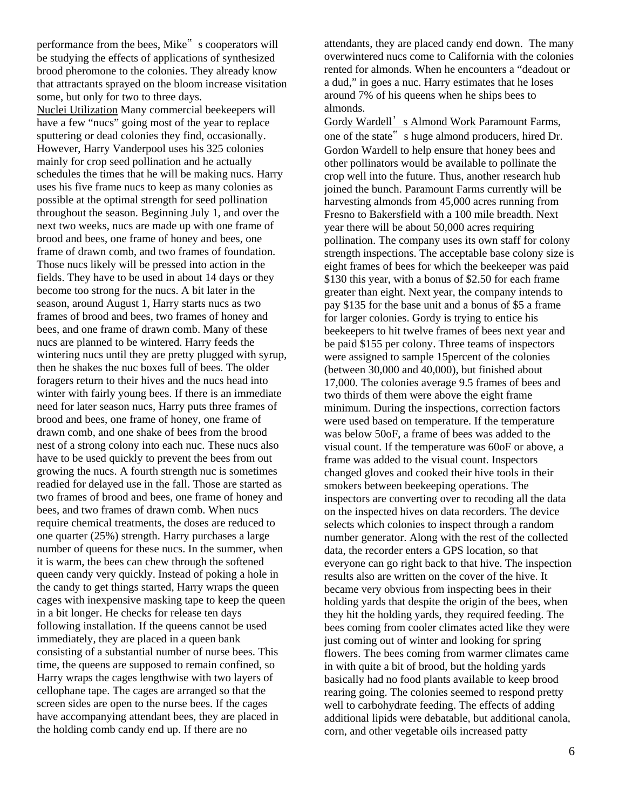performance from the bees, Mike" s cooperators will be studying the effects of applications of synthesized brood pheromone to the colonies. They already know that attractants sprayed on the bloom increase visitation some, but only for two to three days. Nuclei Utilization Many commercial beekeepers will have a few "nucs" going most of the year to replace sputtering or dead colonies they find, occasionally. However, Harry Vanderpool uses his 325 colonies mainly for crop seed pollination and he actually schedules the times that he will be making nucs. Harry uses his five frame nucs to keep as many colonies as possible at the optimal strength for seed pollination throughout the season. Beginning July 1, and over the next two weeks, nucs are made up with one frame of brood and bees, one frame of honey and bees, one frame of drawn comb, and two frames of foundation. Those nucs likely will be pressed into action in the fields. They have to be used in about 14 days or they become too strong for the nucs. A bit later in the season, around August 1, Harry starts nucs as two frames of brood and bees, two frames of honey and bees, and one frame of drawn comb. Many of these nucs are planned to be wintered. Harry feeds the wintering nucs until they are pretty plugged with syrup, then he shakes the nuc boxes full of bees. The older foragers return to their hives and the nucs head into winter with fairly young bees. If there is an immediate need for later season nucs, Harry puts three frames of brood and bees, one frame of honey, one frame of drawn comb, and one shake of bees from the brood nest of a strong colony into each nuc. These nucs also have to be used quickly to prevent the bees from out growing the nucs. A fourth strength nuc is sometimes readied for delayed use in the fall. Those are started as two frames of brood and bees, one frame of honey and bees, and two frames of drawn comb. When nucs require chemical treatments, the doses are reduced to one quarter (25%) strength. Harry purchases a large number of queens for these nucs. In the summer, when it is warm, the bees can chew through the softened queen candy very quickly. Instead of poking a hole in the candy to get things started, Harry wraps the queen cages with inexpensive masking tape to keep the queen in a bit longer. He checks for release ten days following installation. If the queens cannot be used immediately, they are placed in a queen bank consisting of a substantial number of nurse bees. This time, the queens are supposed to remain confined, so Harry wraps the cages lengthwise with two layers of cellophane tape. The cages are arranged so that the screen sides are open to the nurse bees. If the cages have accompanying attendant bees, they are placed in the holding comb candy end up. If there are no

attendants, they are placed candy end down. The many overwintered nucs come to California with the colonies rented for almonds. When he encounters a "deadout or a dud," in goes a nuc. Harry estimates that he loses around 7% of his queens when he ships bees to almonds.

Gordy Wardell's Almond Work Paramount Farms, one of the state" s huge almond producers, hired Dr. Gordon Wardell to help ensure that honey bees and other pollinators would be available to pollinate the crop well into the future. Thus, another research hub joined the bunch. Paramount Farms currently will be harvesting almonds from 45,000 acres running from Fresno to Bakersfield with a 100 mile breadth. Next year there will be about 50,000 acres requiring pollination. The company uses its own staff for colony strength inspections. The acceptable base colony size is eight frames of bees for which the beekeeper was paid \$130 this year, with a bonus of \$2.50 for each frame greater than eight. Next year, the company intends to pay \$135 for the base unit and a bonus of \$5 a frame for larger colonies. Gordy is trying to entice his beekeepers to hit twelve frames of bees next year and be paid \$155 per colony. Three teams of inspectors were assigned to sample 15percent of the colonies (between 30,000 and 40,000), but finished about 17,000. The colonies average 9.5 frames of bees and two thirds of them were above the eight frame minimum. During the inspections, correction factors were used based on temperature. If the temperature was below 50oF, a frame of bees was added to the visual count. If the temperature was 60oF or above, a frame was added to the visual count. Inspectors changed gloves and cooked their hive tools in their smokers between beekeeping operations. The inspectors are converting over to recoding all the data on the inspected hives on data recorders. The device selects which colonies to inspect through a random number generator. Along with the rest of the collected data, the recorder enters a GPS location, so that everyone can go right back to that hive. The inspection results also are written on the cover of the hive. It became very obvious from inspecting bees in their holding yards that despite the origin of the bees, when they hit the holding yards, they required feeding. The bees coming from cooler climates acted like they were just coming out of winter and looking for spring flowers. The bees coming from warmer climates came in with quite a bit of brood, but the holding yards basically had no food plants available to keep brood rearing going. The colonies seemed to respond pretty well to carbohydrate feeding. The effects of adding additional lipids were debatable, but additional canola, corn, and other vegetable oils increased patty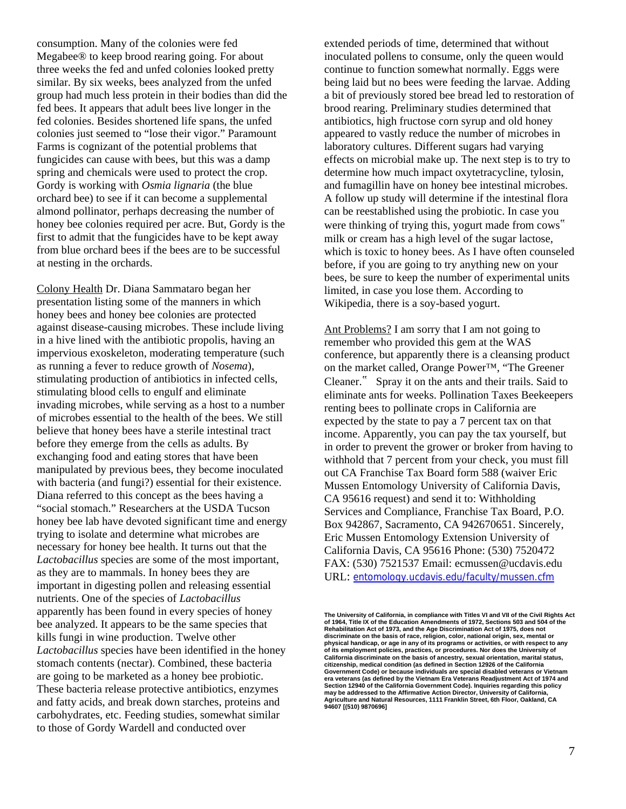consumption. Many of the colonies were fed Megabee® to keep brood rearing going. For about three weeks the fed and unfed colonies looked pretty similar. By six weeks, bees analyzed from the unfed group had much less protein in their bodies than did the fed bees. It appears that adult bees live longer in the fed colonies. Besides shortened life spans, the unfed colonies just seemed to "lose their vigor." Paramount Farms is cognizant of the potential problems that fungicides can cause with bees, but this was a damp spring and chemicals were used to protect the crop. Gordy is working with *Osmia lignaria* (the blue orchard bee) to see if it can become a supplemental almond pollinator, perhaps decreasing the number of honey bee colonies required per acre. But, Gordy is the first to admit that the fungicides have to be kept away from blue orchard bees if the bees are to be successful at nesting in the orchards.

Colony Health Dr. Diana Sammataro began her presentation listing some of the manners in which honey bees and honey bee colonies are protected against disease-causing microbes. These include living in a hive lined with the antibiotic propolis, having an impervious exoskeleton, moderating temperature (such as running a fever to reduce growth of *Nosema*), stimulating production of antibiotics in infected cells, stimulating blood cells to engulf and eliminate invading microbes, while serving as a host to a number of microbes essential to the health of the bees. We still believe that honey bees have a sterile intestinal tract before they emerge from the cells as adults. By exchanging food and eating stores that have been manipulated by previous bees, they become inoculated with bacteria (and fungi?) essential for their existence. Diana referred to this concept as the bees having a "social stomach." Researchers at the USDA Tucson honey bee lab have devoted significant time and energy trying to isolate and determine what microbes are necessary for honey bee health. It turns out that the *Lactobacillus* species are some of the most important, as they are to mammals. In honey bees they are important in digesting pollen and releasing essential nutrients. One of the species of *Lactobacillus*  apparently has been found in every species of honey bee analyzed. It appears to be the same species that kills fungi in wine production. Twelve other *Lactobacillus* species have been identified in the honey stomach contents (nectar). Combined, these bacteria are going to be marketed as a honey bee probiotic. These bacteria release protective antibiotics, enzymes and fatty acids, and break down starches, proteins and carbohydrates, etc. Feeding studies, somewhat similar to those of Gordy Wardell and conducted over

extended periods of time, determined that without inoculated pollens to consume, only the queen would continue to function somewhat normally. Eggs were being laid but no bees were feeding the larvae. Adding a bit of previously stored bee bread led to restoration of brood rearing. Preliminary studies determined that antibiotics, high fructose corn syrup and old honey appeared to vastly reduce the number of microbes in laboratory cultures. Different sugars had varying effects on microbial make up. The next step is to try to determine how much impact oxytetracycline, tylosin, and fumagillin have on honey bee intestinal microbes. A follow up study will determine if the intestinal flora can be reestablished using the probiotic. In case you were thinking of trying this, yogurt made from cows" milk or cream has a high level of the sugar lactose, which is toxic to honey bees. As I have often counseled before, if you are going to try anything new on your bees, be sure to keep the number of experimental units limited, in case you lose them. According to Wikipedia, there is a soy-based yogurt.

Ant Problems? I am sorry that I am not going to remember who provided this gem at the WAS conference, but apparently there is a cleansing product on the market called, Orange Power™, "The Greener Cleaner." Spray it on the ants and their trails. Said to eliminate ants for weeks. Pollination Taxes Beekeepers renting bees to pollinate crops in California are expected by the state to pay a 7 percent tax on that income. Apparently, you can pay the tax yourself, but in order to prevent the grower or broker from having to withhold that 7 percent from your check, you must fill out CA Franchise Tax Board form 588 (waiver Eric Mussen Entomology University of California Davis, CA 95616 request) and send it to: Withholding Services and Compliance, Franchise Tax Board, P.O. Box 942867, Sacramento, CA 942670651. Sincerely, Eric Mussen Entomology Extension University of California Davis, CA 95616 Phone: (530) 7520472 FAX: (530) 7521537 Email: ecmussen@ucdavis.edu URL: entomology.ucdavis.edu/faculty/mussen.cfm

**The University of California, in compliance with Titles VI and VII of the Civil Rights Act of 1964, Title IX of the Education Amendments of 1972, Sections 503 and 504 of the Rehabilitation Act of 1973, and the Age Discrimination Act of 1975, does not discriminate on the basis of race, religion, color, national origin, sex, mental or physical handicap, or age in any of its programs or activities, or with respect to any of its employment policies, practices, or procedures. Nor does the University of California discriminate on the basis of ancestry, sexual orientation, marital status, citizenship, medical condition (as defined in Section 12926 of the California Government Code) or because individuals are special disabled veterans or Vietnam era veterans (as defined by the Vietnam Era Veterans Readjustment Act of 1974 and Section 12940 of the California Government Code). Inquiries regarding this policy**  may be addressed to the Affirmative Action Director, University of California **Agriculture and Natural Resources, 1111 Franklin Street, 6th Floor, Oakland, CA 94607 [(510) 9870696]**